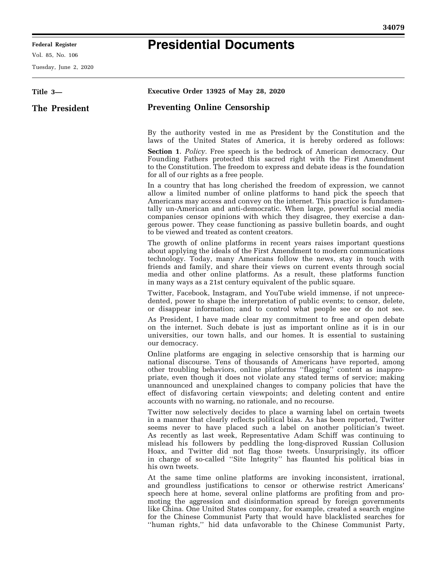## **Presidential Documents**

**Federal Register**  Vol. 85, No. 106

| Tuesday, June 2, 2020 |                                                                                                                                                                                                                                                                                                                                                                                                                                                                                                                                                                          |
|-----------------------|--------------------------------------------------------------------------------------------------------------------------------------------------------------------------------------------------------------------------------------------------------------------------------------------------------------------------------------------------------------------------------------------------------------------------------------------------------------------------------------------------------------------------------------------------------------------------|
| Title 3-              | Executive Order 13925 of May 28, 2020                                                                                                                                                                                                                                                                                                                                                                                                                                                                                                                                    |
| The President         | <b>Preventing Online Censorship</b>                                                                                                                                                                                                                                                                                                                                                                                                                                                                                                                                      |
|                       | By the authority vested in me as President by the Constitution and the<br>laws of the United States of America, it is hereby ordered as follows:                                                                                                                                                                                                                                                                                                                                                                                                                         |
|                       | <b>Section 1.</b> Policy. Free speech is the bedrock of American democracy. Our<br>Founding Fathers protected this sacred right with the First Amendment<br>to the Constitution. The freedom to express and debate ideas is the foundation<br>for all of our rights as a free people.                                                                                                                                                                                                                                                                                    |
|                       | In a country that has long cherished the freedom of expression, we cannot<br>allow a limited number of online platforms to hand pick the speech that<br>Americans may access and convey on the internet. This practice is fundamen-<br>tally un-American and anti-democratic. When large, powerful social media<br>companies censor opinions with which they disagree, they exercise a dan-<br>gerous power. They cease functioning as passive bulletin boards, and ought<br>to be viewed and treated as content creators.                                               |
|                       | The growth of online platforms in recent years raises important questions<br>about applying the ideals of the First Amendment to modern communications<br>technology. Today, many Americans follow the news, stay in touch with<br>friends and family, and share their views on current events through social<br>media and other online platforms. As a result, these platforms function<br>in many ways as a 21st century equivalent of the public square.                                                                                                              |
|                       | Twitter, Facebook, Instagram, and YouTube wield immense, if not unprece-<br>dented, power to shape the interpretation of public events; to censor, delete,<br>or disappear information; and to control what people see or do not see.                                                                                                                                                                                                                                                                                                                                    |
|                       | As President, I have made clear my commitment to free and open debate<br>on the internet. Such debate is just as important online as it is in our<br>universities, our town halls, and our homes. It is essential to sustaining<br>our democracy.                                                                                                                                                                                                                                                                                                                        |
|                       | Online platforms are engaging in selective censorship that is harming our<br>national discourse. Tens of thousands of Americans have reported, among<br>other troubling behaviors, online platforms "flagging" content as inappro-<br>priate, even though it does not violate any stated terms of service; making<br>unannounced and unexplained changes to company policies that have the<br>effect of disfavoring certain viewpoints; and deleting content and entire<br>accounts with no warning, no rationale, and no recourse.                                      |
|                       | Twitter now selectively decides to place a warning label on certain tweets<br>in a manner that clearly reflects political bias. As has been reported, Twitter<br>seems never to have placed such a label on another politician's tweet.<br>As recently as last week, Representative Adam Schiff was continuing to<br>mislead his followers by peddling the long-disproved Russian Collusion<br>Hoax, and Twitter did not flag those tweets. Unsurprisingly, its officer<br>in charge of so-called "Site Integrity" has flaunted his political bias in<br>his own tweets. |
|                       | At the same time online platforms are invoking inconsistent, irrational,<br>and groundless justifications to censor or otherwise restrict Americans'<br>speech here at home, several online platforms are profiting from and pro-<br>moting the aggression and disinformation spread by foreign governments<br>like China. One United States company, for example, created a search engine<br>for the Chinese Communist Party that would have blacklisted searches for<br>"human rights," hid data unfavorable to the Chinese Communist Party,                           |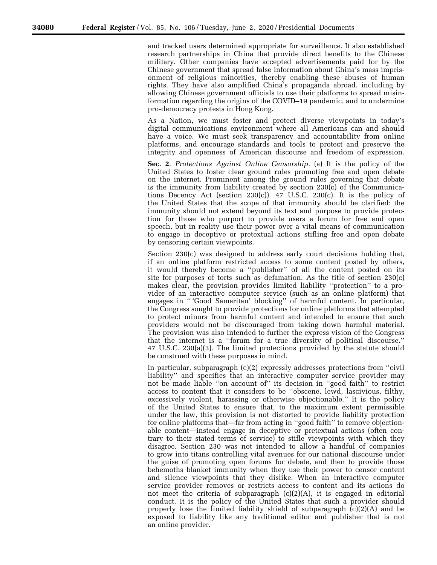and tracked users determined appropriate for surveillance. It also established research partnerships in China that provide direct benefits to the Chinese military. Other companies have accepted advertisements paid for by the Chinese government that spread false information about China's mass imprisonment of religious minorities, thereby enabling these abuses of human rights. They have also amplified China's propaganda abroad, including by allowing Chinese government officials to use their platforms to spread misinformation regarding the origins of the COVID–19 pandemic, and to undermine pro-democracy protests in Hong Kong.

As a Nation, we must foster and protect diverse viewpoints in today's digital communications environment where all Americans can and should have a voice. We must seek transparency and accountability from online platforms, and encourage standards and tools to protect and preserve the integrity and openness of American discourse and freedom of expression.

**Sec. 2**. *Protections Against Online Censorship.* (a) It is the policy of the United States to foster clear ground rules promoting free and open debate on the internet. Prominent among the ground rules governing that debate is the immunity from liability created by section 230(c) of the Communications Decency Act (section 230(c)). 47 U.S.C. 230(c). It is the policy of the United States that the scope of that immunity should be clarified: the immunity should not extend beyond its text and purpose to provide protection for those who purport to provide users a forum for free and open speech, but in reality use their power over a vital means of communication to engage in deceptive or pretextual actions stifling free and open debate by censoring certain viewpoints.

Section 230(c) was designed to address early court decisions holding that, if an online platform restricted access to some content posted by others, it would thereby become a ''publisher'' of all the content posted on its site for purposes of torts such as defamation. As the title of section 230(c) makes clear, the provision provides limited liability ''protection'' to a provider of an interactive computer service (such as an online platform) that engages in '' 'Good Samaritan' blocking'' of harmful content. In particular, the Congress sought to provide protections for online platforms that attempted to protect minors from harmful content and intended to ensure that such providers would not be discouraged from taking down harmful material. The provision was also intended to further the express vision of the Congress that the internet is a ''forum for a true diversity of political discourse.'' 47 U.S.C. 230(a)(3). The limited protections provided by the statute should be construed with these purposes in mind.

In particular, subparagraph  $(c)(2)$  expressly addresses protections from "civil" liability'' and specifies that an interactive computer service provider may not be made liable ''on account of'' its decision in ''good faith'' to restrict access to content that it considers to be ''obscene, lewd, lascivious, filthy, excessively violent, harassing or otherwise objectionable.'' It is the policy of the United States to ensure that, to the maximum extent permissible under the law, this provision is not distorted to provide liability protection for online platforms that—far from acting in ''good faith'' to remove objectionable content—instead engage in deceptive or pretextual actions (often contrary to their stated terms of service) to stifle viewpoints with which they disagree. Section 230 was not intended to allow a handful of companies to grow into titans controlling vital avenues for our national discourse under the guise of promoting open forums for debate, and then to provide those behemoths blanket immunity when they use their power to censor content and silence viewpoints that they dislike. When an interactive computer service provider removes or restricts access to content and its actions do not meet the criteria of subparagraph (c)(2)(A), it is engaged in editorial conduct. It is the policy of the United States that such a provider should properly lose the limited liability shield of subparagraph (c)(2)(A) and be exposed to liability like any traditional editor and publisher that is not an online provider.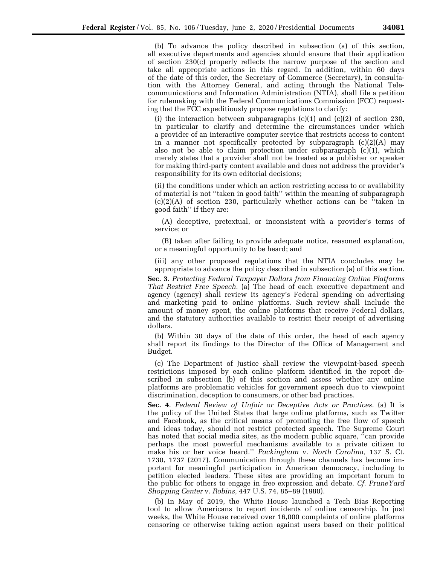(b) To advance the policy described in subsection (a) of this section, all executive departments and agencies should ensure that their application of section 230(c) properly reflects the narrow purpose of the section and take all appropriate actions in this regard. In addition, within 60 days of the date of this order, the Secretary of Commerce (Secretary), in consultation with the Attorney General, and acting through the National Telecommunications and Information Administration (NTIA), shall file a petition for rulemaking with the Federal Communications Commission (FCC) requesting that the FCC expeditiously propose regulations to clarify:

(i) the interaction between subparagraphs  $(c)(1)$  and  $(c)(2)$  of section 230, in particular to clarify and determine the circumstances under which a provider of an interactive computer service that restricts access to content in a manner not specifically protected by subparagraph (c)(2)(A) may also not be able to claim protection under subparagraph (c)(1), which merely states that a provider shall not be treated as a publisher or speaker for making third-party content available and does not address the provider's responsibility for its own editorial decisions;

(ii) the conditions under which an action restricting access to or availability of material is not ''taken in good faith'' within the meaning of subparagraph (c)(2)(A) of section 230, particularly whether actions can be ''taken in good faith'' if they are:

(A) deceptive, pretextual, or inconsistent with a provider's terms of service; or

(B) taken after failing to provide adequate notice, reasoned explanation, or a meaningful opportunity to be heard; and

(iii) any other proposed regulations that the NTIA concludes may be appropriate to advance the policy described in subsection (a) of this section.

**Sec. 3**. *Protecting Federal Taxpayer Dollars from Financing Online Platforms That Restrict Free Speech.* (a) The head of each executive department and agency (agency) shall review its agency's Federal spending on advertising and marketing paid to online platforms. Such review shall include the amount of money spent, the online platforms that receive Federal dollars, and the statutory authorities available to restrict their receipt of advertising dollars.

(b) Within 30 days of the date of this order, the head of each agency shall report its findings to the Director of the Office of Management and Budget.

(c) The Department of Justice shall review the viewpoint-based speech restrictions imposed by each online platform identified in the report described in subsection (b) of this section and assess whether any online platforms are problematic vehicles for government speech due to viewpoint discrimination, deception to consumers, or other bad practices.

**Sec. 4**. *Federal Review of Unfair or Deceptive Acts or Practices.* (a) It is the policy of the United States that large online platforms, such as Twitter and Facebook, as the critical means of promoting the free flow of speech and ideas today, should not restrict protected speech. The Supreme Court has noted that social media sites, as the modern public square, ''can provide perhaps the most powerful mechanisms available to a private citizen to make his or her voice heard.'' *Packingham* v. *North Carolina,* 137 S. Ct. 1730, 1737 (2017). Communication through these channels has become important for meaningful participation in American democracy, including to petition elected leaders. These sites are providing an important forum to the public for others to engage in free expression and debate. *Cf. PruneYard Shopping Center* v. *Robins,* 447 U.S. 74, 85–89 (1980).

(b) In May of 2019, the White House launched a Tech Bias Reporting tool to allow Americans to report incidents of online censorship. In just weeks, the White House received over 16,000 complaints of online platforms censoring or otherwise taking action against users based on their political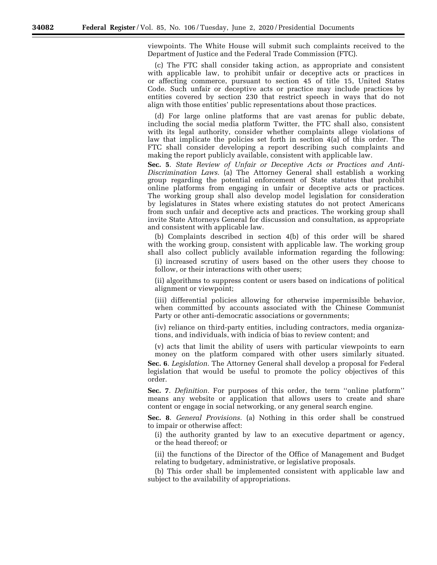viewpoints. The White House will submit such complaints received to the Department of Justice and the Federal Trade Commission (FTC).

(c) The FTC shall consider taking action, as appropriate and consistent with applicable law, to prohibit unfair or deceptive acts or practices in or affecting commerce, pursuant to section 45 of title 15, United States Code. Such unfair or deceptive acts or practice may include practices by entities covered by section 230 that restrict speech in ways that do not align with those entities' public representations about those practices.

(d) For large online platforms that are vast arenas for public debate, including the social media platform Twitter, the FTC shall also, consistent with its legal authority, consider whether complaints allege violations of law that implicate the policies set forth in section 4(a) of this order. The FTC shall consider developing a report describing such complaints and making the report publicly available, consistent with applicable law.

**Sec. 5**. *State Review of Unfair or Deceptive Acts or Practices and Anti-Discrimination Laws.* (a) The Attorney General shall establish a working group regarding the potential enforcement of State statutes that prohibit online platforms from engaging in unfair or deceptive acts or practices. The working group shall also develop model legislation for consideration by legislatures in States where existing statutes do not protect Americans from such unfair and deceptive acts and practices. The working group shall invite State Attorneys General for discussion and consultation, as appropriate and consistent with applicable law.

(b) Complaints described in section 4(b) of this order will be shared with the working group, consistent with applicable law. The working group shall also collect publicly available information regarding the following:

(i) increased scrutiny of users based on the other users they choose to follow, or their interactions with other users;

(ii) algorithms to suppress content or users based on indications of political alignment or viewpoint;

(iii) differential policies allowing for otherwise impermissible behavior, when committed by accounts associated with the Chinese Communist Party or other anti-democratic associations or governments;

(iv) reliance on third-party entities, including contractors, media organizations, and individuals, with indicia of bias to review content; and

(v) acts that limit the ability of users with particular viewpoints to earn

money on the platform compared with other users similarly situated. **Sec. 6**. *Legislation.* The Attorney General shall develop a proposal for Federal legislation that would be useful to promote the policy objectives of this order.

**Sec. 7**. *Definition.* For purposes of this order, the term ''online platform'' means any website or application that allows users to create and share content or engage in social networking, or any general search engine.

**Sec. 8**. *General Provisions.* (a) Nothing in this order shall be construed to impair or otherwise affect:

(i) the authority granted by law to an executive department or agency, or the head thereof; or

(ii) the functions of the Director of the Office of Management and Budget relating to budgetary, administrative, or legislative proposals.

(b) This order shall be implemented consistent with applicable law and subject to the availability of appropriations.